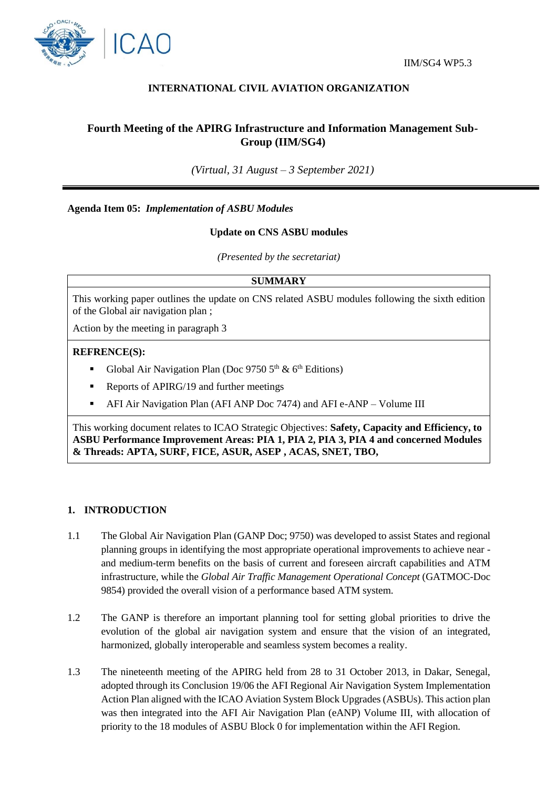

# **INTERNATIONAL CIVIL AVIATION ORGANIZATION**

# **Fourth Meeting of the APIRG Infrastructure and Information Management Sub-Group (IIM/SG4)**

*(Virtual, 31 August – 3 September 2021)*

**Agenda Item 05:** *Implementation of ASBU Modules*

### **Update on CNS ASBU modules**

*(Presented by the secretariat)*

#### **SUMMARY**

This working paper outlines the update on CNS related ASBU modules following the sixth edition of the Global air navigation plan ;

Action by the meeting in paragraph 3

#### **REFRENCE(S):**

- Global Air Navigation Plan (Doc 9750  $5<sup>th</sup>$  &  $6<sup>th</sup>$  Editions)
- Reports of APIRG/19 and further meetings
- AFI Air Navigation Plan (AFI ANP Doc 7474) and AFI e-ANP Volume III

This working document relates to ICAO Strategic Objectives: **Safety, Capacity and Efficiency, to ASBU Performance Improvement Areas: PIA 1, PIA 2, PIA 3, PIA 4 and concerned Modules & Threads: APTA, SURF, FICE, ASUR, ASEP , ACAS, SNET, TBO,** 

#### **1. INTRODUCTION**

- 1.1 The Global Air Navigation Plan (GANP Doc; 9750) was developed to assist States and regional planning groups in identifying the most appropriate operational improvements to achieve near and medium-term benefits on the basis of current and foreseen aircraft capabilities and ATM infrastructure, while the *Global Air Traffic Management Operational Concept* (GATMOC-Doc 9854) provided the overall vision of a performance based ATM system.
- 1.2 The GANP is therefore an important planning tool for setting global priorities to drive the evolution of the global air navigation system and ensure that the vision of an integrated, harmonized, globally interoperable and seamless system becomes a reality.
- 1.3 The nineteenth meeting of the APIRG held from 28 to 31 October 2013, in Dakar, Senegal, adopted through its Conclusion 19/06 the AFI Regional Air Navigation System Implementation Action Plan aligned with the ICAO Aviation System Block Upgrades (ASBUs). This action plan was then integrated into the AFI Air Navigation Plan (eANP) Volume III, with allocation of priority to the 18 modules of ASBU Block 0 for implementation within the AFI Region.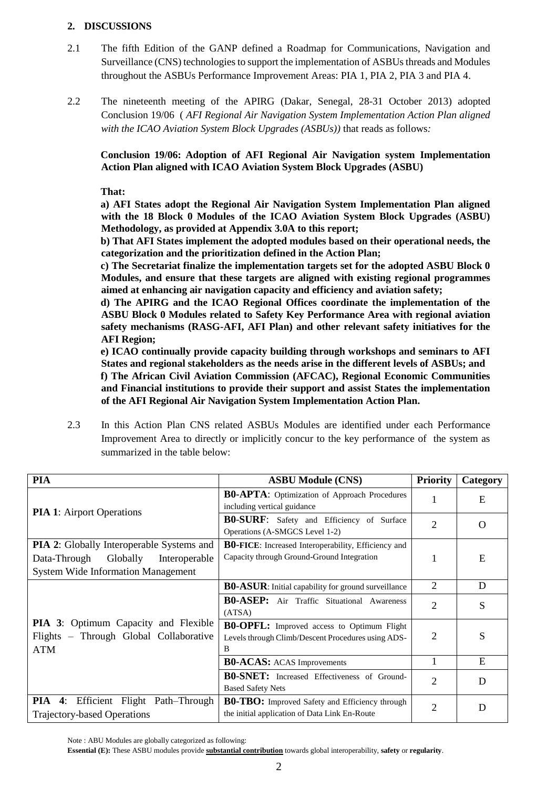### **2. DISCUSSIONS**

- 2.1 The fifth Edition of the GANP defined a Roadmap for Communications, Navigation and Surveillance (CNS) technologies to support the implementation of ASBUs threads and Modules throughout the ASBUs Performance Improvement Areas: PIA 1, PIA 2, PIA 3 and PIA 4.
- 2.2 The nineteenth meeting of the APIRG (Dakar, Senegal, 28-31 October 2013) adopted Conclusion 19/06 ( *AFI Regional Air Navigation System Implementation Action Plan aligned with the ICAO Aviation System Block Upgrades (ASBUs))* that reads as follows*:*

**Conclusion 19/06: Adoption of AFI Regional Air Navigation system Implementation Action Plan aligned with ICAO Aviation System Block Upgrades (ASBU)**

**That:** 

**a) AFI States adopt the Regional Air Navigation System Implementation Plan aligned with the 18 Block 0 Modules of the ICAO Aviation System Block Upgrades (ASBU) Methodology, as provided at Appendix 3.0A to this report;** 

**b) That AFI States implement the adopted modules based on their operational needs, the categorization and the prioritization defined in the Action Plan;** 

**c) The Secretariat finalize the implementation targets set for the adopted ASBU Block 0 Modules, and ensure that these targets are aligned with existing regional programmes aimed at enhancing air navigation capacity and efficiency and aviation safety;** 

**d) The APIRG and the ICAO Regional Offices coordinate the implementation of the ASBU Block 0 Modules related to Safety Key Performance Area with regional aviation safety mechanisms (RASG-AFI, AFI Plan) and other relevant safety initiatives for the AFI Region;** 

**e) ICAO continually provide capacity building through workshops and seminars to AFI States and regional stakeholders as the needs arise in the different levels of ASBUs; and f) The African Civil Aviation Commission (AFCAC), Regional Economic Communities and Financial institutions to provide their support and assist States the implementation of the AFI Regional Air Navigation System Implementation Action Plan.** 

2.3 In this Action Plan CNS related ASBUs Modules are identified under each Performance Improvement Area to directly or implicitly concur to the key performance of the system as summarized in the table below:

| <b>PIA</b>                                                                                                                                 | <b>ASBU Module (CNS)</b>                                                                                     | <b>Priority</b> | Category |
|--------------------------------------------------------------------------------------------------------------------------------------------|--------------------------------------------------------------------------------------------------------------|-----------------|----------|
| <b>PIA 1:</b> Airport Operations                                                                                                           | <b>B0-APTA:</b> Optimization of Approach Procedures<br>including vertical guidance                           | 1               | E        |
|                                                                                                                                            | <b>B0-SURF:</b> Safety and Efficiency of Surface<br>Operations (A-SMGCS Level 1-2)                           | $\overline{2}$  | $\Omega$ |
| <b>PIA 2:</b> Globally Interoperable Systems and<br>Globally<br>Data-Through<br>Interoperable<br><b>System Wide Information Management</b> | <b>B0-FICE:</b> Increased Interoperability, Efficiency and<br>Capacity through Ground-Ground Integration     | 1               | E        |
| <b>PIA 3:</b> Optimum Capacity and Flexible<br>Flights - Through Global Collaborative<br><b>ATM</b>                                        | <b>B0-ASUR:</b> Initial capability for ground surveillance                                                   | $\overline{2}$  | D        |
|                                                                                                                                            | <b>B0-ASEP:</b> Air Traffic Situational Awareness<br>(ATSA)                                                  | $\overline{2}$  | S        |
|                                                                                                                                            | <b>B0-OPFL:</b> Improved access to Optimum Flight<br>Levels through Climb/Descent Procedures using ADS-<br>В | 2               | S        |
|                                                                                                                                            | <b>B0-ACAS:</b> ACAS Improvements                                                                            |                 | E        |
|                                                                                                                                            | <b>B0-SNET:</b> Increased Effectiveness of Ground-<br><b>Based Safety Nets</b>                               | $\overline{2}$  | D        |
| PIA<br>4:<br>Efficient Flight Path-Through<br><b>Trajectory-based Operations</b>                                                           | <b>B0-TBO:</b> Improved Safety and Efficiency through<br>the initial application of Data Link En-Route       | $\overline{2}$  | D        |

Note : ABU Modules are globally categorized as following:

**Essential (E):** These ASBU modules provide **substantial contribution** towards global interoperability, **safety** or **regularity**.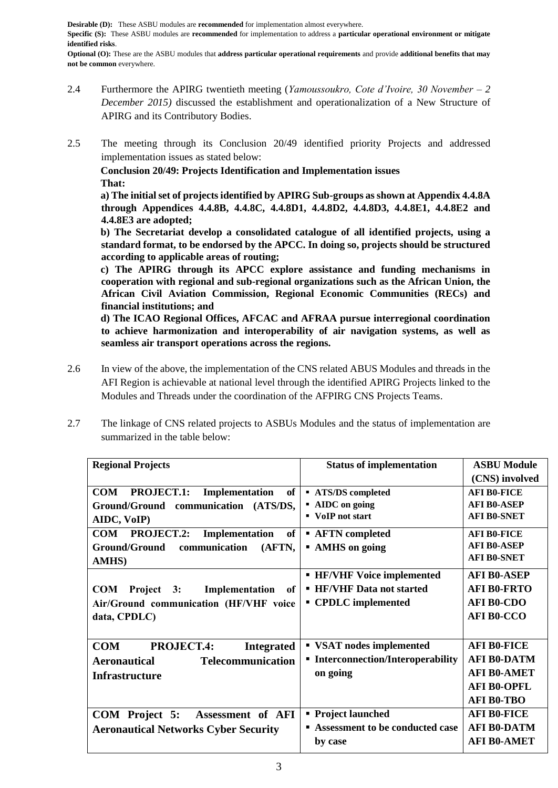**Desirable (D):** These ASBU modules are **recommended** for implementation almost everywhere. **Specific (S):** These ASBU modules are **recommended** for implementation to address a **particular operational environment or mitigate identified risks**.

**Optional (O):** These are the ASBU modules that **address particular operational requirements** and provide **additional benefits that may not be common** everywhere.

- 2.4 Furthermore the APIRG twentieth meeting (*Yamoussoukro, Cote d'Ivoire, 30 November – 2 December 2015)* discussed the establishment and operationalization of a New Structure of APIRG and its Contributory Bodies.
- 2.5 The meeting through its Conclusion 20/49 identified priority Projects and addressed implementation issues as stated below:

**Conclusion 20/49: Projects Identification and Implementation issues That:** 

**a) The initial set of projects identified by APIRG Sub-groups as shown at Appendix 4.4.8A through Appendices 4.4.8B, 4.4.8C, 4.4.8D1, 4.4.8D2, 4.4.8D3, 4.4.8E1, 4.4.8E2 and 4.4.8E3 are adopted;** 

**b) The Secretariat develop a consolidated catalogue of all identified projects, using a standard format, to be endorsed by the APCC. In doing so, projects should be structured according to applicable areas of routing;** 

**c) The APIRG through its APCC explore assistance and funding mechanisms in cooperation with regional and sub-regional organizations such as the African Union, the African Civil Aviation Commission, Regional Economic Communities (RECs) and financial institutions; and** 

**d) The ICAO Regional Offices, AFCAC and AFRAA pursue interregional coordination to achieve harmonization and interoperability of air navigation systems, as well as seamless air transport operations across the regions.** 

- 2.6 In view of the above, the implementation of the CNS related ABUS Modules and threads in the AFI Region is achievable at national level through the identified APIRG Projects linked to the Modules and Threads under the coordination of the AFPIRG CNS Projects Teams.
- 2.7 The linkage of CNS related projects to ASBUs Modules and the status of implementation are summarized in the table below:

| <b>Regional Projects</b>                                | <b>Status of implementation</b>         | <b>ASBU Module</b> |  |
|---------------------------------------------------------|-----------------------------------------|--------------------|--|
|                                                         |                                         | (CNS) involved     |  |
| <b>COM</b><br><b>PROJECT.1:</b><br>Implementation<br>of | <b>ATS/DS</b> completed                 | <b>AFI BO-FICE</b> |  |
| Ground/Ground communication<br>(ATS/DS,                 | • AIDC on going                         | <b>AFI B0-ASEP</b> |  |
| AIDC, VoIP)                                             | • VoIP not start                        | <b>AFI B0-SNET</b> |  |
| <b>PROJECT.2:</b><br>Implementation<br><b>COM</b><br>of | <b>AFTN</b> completed                   | <b>AFI BO-FICE</b> |  |
| Ground/Ground<br>communication<br>(AFTN,                | • AMHS on going                         | <b>AFI B0-ASEP</b> |  |
| <b>AMHS</b> )                                           |                                         | <b>AFI B0-SNET</b> |  |
|                                                         | <b>- HF/VHF Voice implemented</b>       | <b>AFI B0-ASEP</b> |  |
| <b>COM</b><br>Project 3:<br>Implementation<br>оf        | <b>- HF/VHF Data not started</b>        | <b>AFI B0-FRTO</b> |  |
| Air/Ground communication (HF/VHF voice                  | • CPDLC implemented                     | <b>AFI B0-CDO</b>  |  |
| data, CPDLC)                                            |                                         | <b>AFI B0-CCO</b>  |  |
|                                                         |                                         |                    |  |
| <b>COM</b><br><b>PROJECT.4:</b><br><b>Integrated</b>    | ■ VSAT nodes implemented                | <b>AFI B0-FICE</b> |  |
| <b>Telecommunication</b><br><b>Aeronautical</b>         | <b>Interconnection/Interoperability</b> | <b>AFI B0-DATM</b> |  |
| <b>Infrastructure</b>                                   | on going                                | <b>AFI B0-AMET</b> |  |
|                                                         |                                         | <b>AFI B0-OPFL</b> |  |
|                                                         |                                         | <b>AFI B0-TBO</b>  |  |
| COM Project 5:<br>Assessment of AFI                     | • Project launched                      | <b>AFI B0-FICE</b> |  |
| <b>Aeronautical Networks Cyber Security</b>             | Assessment to be conducted case         | <b>AFI B0-DATM</b> |  |
|                                                         | by case                                 | <b>AFI B0-AMET</b> |  |